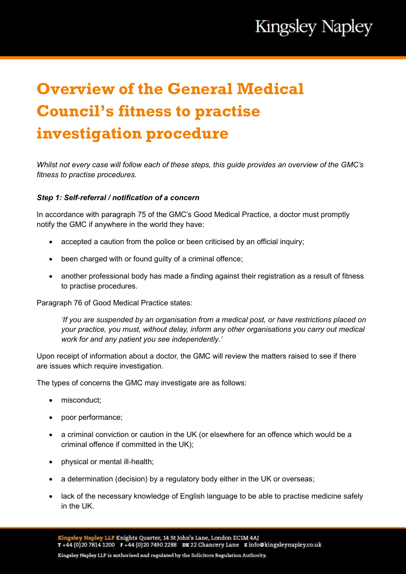# **Kingsley Napley**

## **Overview of the General Medical Council's fitness to practise investigation procedure**

*Whilst not every case will follow each of these steps, this guide provides an overview of the GMC's fitness to practise procedures.*

## *Step 1: Self-referral / notification of a concern*

In accordance with paragraph 75 of the GMC's Good Medical Practice, a doctor must promptly notify the GMC if anywhere in the world they have:

- accepted a caution from the police or been criticised by an official inquiry;
- been charged with or found quilty of a criminal offence;
- another professional body has made a finding against their registration as a result of fitness to practise procedures.

Paragraph 76 of Good Medical Practice states:

*'If you are suspended by an organisation from a medical post, or have restrictions placed on your practice, you must, without delay, inform any other organisations you carry out medical work for and any patient you see independently.'*

Upon receipt of information about a doctor, the GMC will review the matters raised to see if there are issues which require investigation.

The types of concerns the GMC may investigate are as follows:

- misconduct;
- poor performance;
- a criminal conviction or caution in the UK (or elsewhere for an offence which would be a criminal offence if committed in the UK);
- physical or mental ill-health:
- a determination (decision) by a regulatory body either in the UK or overseas;
- lack of the necessary knowledge of English language to be able to practise medicine safely in the UK.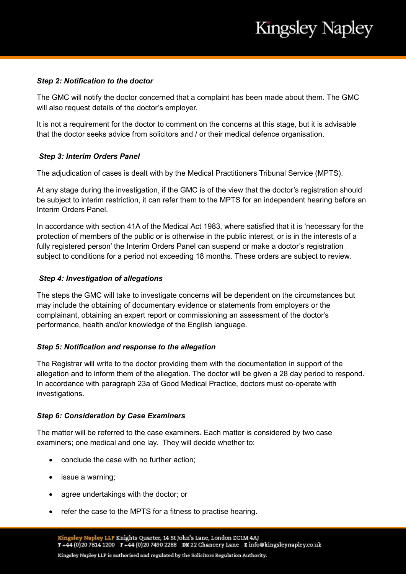### *Step 2: Notification to the doctor*

The GMC will notify the doctor concerned that a complaint has been made about them. The GMC will also request details of the doctor's employer.

It is not a requirement for the doctor to comment on the concerns at this stage, but it is advisable that the doctor seeks advice from solicitors and / or their medical defence organisation.

## *Step 3: Interim Orders Panel*

The adjudication of cases is dealt with by the Medical Practitioners Tribunal Service (MPTS).

At any stage during the investigation, if the GMC is of the view that the doctor's registration should be subject to interim restriction, it can refer them to the MPTS for an independent hearing before an Interim Orders Panel.

In accordance with section 41A of the Medical Act 1983, where satisfied that it is 'necessary for the protection of members of the public or is otherwise in the public interest, or is in the interests of a fully registered person' the Interim Orders Panel can suspend or make a doctor's registration subject to conditions for a period not exceeding 18 months. These orders are subject to review.

### *Step 4: Investigation of allegations*

The steps the GMC will take to investigate concerns will be dependent on the circumstances but may include the obtaining of documentary evidence or statements from employers or the complainant, obtaining an expert report or commissioning an assessment of the doctor's performance, health and/or knowledge of the English language.

#### *Step 5: Notification and response to the allegation*

The Registrar will write to the doctor providing them with the documentation in support of the allegation and to inform them of the allegation. The doctor will be given a 28 day period to respond. In accordance with paragraph 23a of Good Medical Practice, doctors must co-operate with investigations.

#### *Step 6: Consideration by Case Examiners*

The matter will be referred to the case examiners. Each matter is considered by two case examiners; one medical and one lay. They will decide whether to:

- conclude the case with no further action;
- issue a warning;
- agree undertakings with the doctor; or
- refer the case to the MPTS for a fitness to practise hearing.